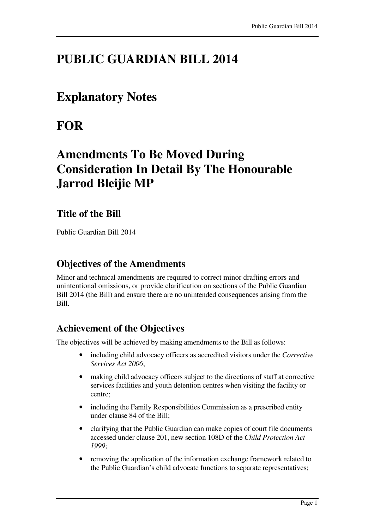## **PUBLIC GUARDIAN BILL 2014**

### **Explanatory Notes**

# **FOR**

# **Amendments To Be Moved During Consideration In Detail By The Honourable Jarrod Bleijie MP**

#### **Title of the Bill**

Public Guardian Bill 2014

#### **Objectives of the Amendments**

Minor and technical amendments are required to correct minor drafting errors and unintentional omissions, or provide clarification on sections of the Public Guardian Bill 2014 (the Bill) and ensure there are no unintended consequences arising from the Bill.

### **Achievement of the Objectives**

The objectives will be achieved by making amendments to the Bill as follows:

- including child advocacy officers as accredited visitors under the *Corrective Services Act 2006*;
- making child advocacy officers subject to the directions of staff at corrective services facilities and youth detention centres when visiting the facility or centre;
- including the Family Responsibilities Commission as a prescribed entity under clause 84 of the Bill;
- clarifying that the Public Guardian can make copies of court file documents accessed under clause 201, new section 108D of the *Child Protection Act 1999*;
- removing the application of the information exchange framework related to the Public Guardian's child advocate functions to separate representatives;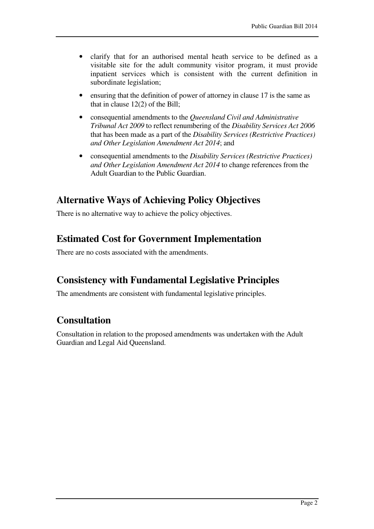- clarify that for an authorised mental heath service to be defined as a visitable site for the adult community visitor program, it must provide inpatient services which is consistent with the current definition in subordinate legislation;
- ensuring that the definition of power of attorney in clause 17 is the same as that in clause 12(2) of the Bill;
- consequential amendments to the *Queensland Civil and Administrative Tribunal Act 2009* to reflect renumbering of the *Disability Services Act 2006*  that has been made as a part of the *Disability Services (Restrictive Practices) and Other Legislation Amendment Act 2014*; and
- consequential amendments to the *Disability Services (Restrictive Practices) and Other Legislation Amendment Act 2014* to change references from the Adult Guardian to the Public Guardian.

#### **Alternative Ways of Achieving Policy Objectives**

There is no alternative way to achieve the policy objectives.

#### **Estimated Cost for Government Implementation**

There are no costs associated with the amendments.

### **Consistency with Fundamental Legislative Principles**

The amendments are consistent with fundamental legislative principles.

### **Consultation**

Consultation in relation to the proposed amendments was undertaken with the Adult Guardian and Legal Aid Queensland.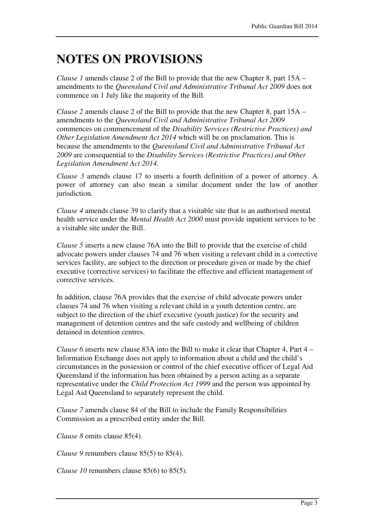# **NOTES ON PROVISIONS**

*Clause 1* amends clause 2 of the Bill to provide that the new Chapter 8, part 15A – amendments to the *Queensland Civil and Administrative Tribunal Act 2009* does not commence on 1 July like the majority of the Bill.

*Clause 2* amends clause 2 of the Bill to provide that the new Chapter 8, part 15A – amendments to the *Queensland Civil and Administrative Tribunal Act 2009* commences on commencement of the *Disability Services (Restrictive Practices) and Other Legislation Amendment Act 2014* which will be on proclamation. This is because the amendments to the *Queensland Civil and Administrative Tribunal Act 2009* are consequential to the *Disability Services (Restrictive Practices) and Other Legislation Amendment Act 2014.* 

*Clause 3* amends clause 17 to inserts a fourth definition of a power of attorney. A power of attorney can also mean a similar document under the law of another jurisdiction.

*Clause 4* amends clause 39 to clarify that a visitable site that is an authorised mental health service under the *Mental Health Act 2000* must provide inpatient services to be a visitable site under the Bill.

*Clause 5* inserts a new clause 76A into the Bill to provide that the exercise of child advocate powers under clauses 74 and 76 when visiting a relevant child in a corrective services facility, are subject to the direction or procedure given or made by the chief executive (corrective services) to facilitate the effective and efficient management of corrective services.

In addition, clause 76A provides that the exercise of child advocate powers under clauses 74 and 76 when visiting a relevant child in a youth detention centre, are subject to the direction of the chief executive (youth justice) for the security and management of detention centres and the safe custody and wellbeing of children detained in detention centres.

*Clause 6* inserts new clause 83A into the Bill to make it clear that Chapter 4, Part 4 – Information Exchange does not apply to information about a child and the child's circumstances in the possession or control of the chief executive officer of Legal Aid Queensland if the information has been obtained by a person acting as a separate representative under the *Child Protection Act 1999* and the person was appointed by Legal Aid Queensland to separately represent the child.

*Clause 7* amends clause 84 of the Bill to include the Family Responsibilities Commission as a prescribed entity under the Bill.

*Clause 8* omits clause 85(4).

*Clause 9* renumbers clause 85(5) to 85(4).

*Clause 10* renumbers clause 85(6) to 85(5).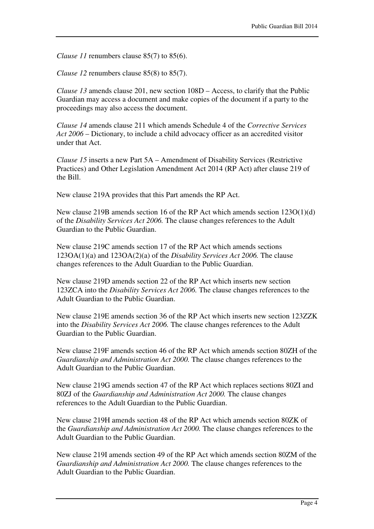*Clause 11* renumbers clause 85(7) to 85(6).

*Clause 12* renumbers clause 85(8) to 85(7).

*Clause 13* amends clause 201, new section 108D – Access, to clarify that the Public Guardian may access a document and make copies of the document if a party to the proceedings may also access the document.

*Clause 14* amends clause 211 which amends Schedule 4 of the *Corrective Services Act 2006* – Dictionary, to include a child advocacy officer as an accredited visitor under that Act.

*Clause 15* inserts a new Part 5A – Amendment of Disability Services (Restrictive Practices) and Other Legislation Amendment Act 2014 (RP Act) after clause 219 of the Bill.

New clause 219A provides that this Part amends the RP Act.

New clause 219B amends section 16 of the RP Act which amends section 123O(1)(d) of the *Disability Services Act 2006.* The clause changes references to the Adult Guardian to the Public Guardian.

New clause 219C amends section 17 of the RP Act which amends sections 123OA(1)(a) and 123OA(2)(a) of the *Disability Services Act 2006.* The clause changes references to the Adult Guardian to the Public Guardian.

New clause 219D amends section 22 of the RP Act which inserts new section 123ZCA into the *Disability Services Act 2006.* The clause changes references to the Adult Guardian to the Public Guardian.

New clause 219E amends section 36 of the RP Act which inserts new section 123ZZK into the *Disability Services Act 2006.* The clause changes references to the Adult Guardian to the Public Guardian.

New clause 219F amends section 46 of the RP Act which amends section 80ZH of the *Guardianship and Administration Act 2000.* The clause changes references to the Adult Guardian to the Public Guardian.

New clause 219G amends section 47 of the RP Act which replaces sections 80ZI and 80ZJ of the *Guardianship and Administration Act 2000.* The clause changes references to the Adult Guardian to the Public Guardian.

New clause 219H amends section 48 of the RP Act which amends section 80ZK of the *Guardianship and Administration Act 2000.* The clause changes references to the Adult Guardian to the Public Guardian.

New clause 219I amends section 49 of the RP Act which amends section 80ZM of the *Guardianship and Administration Act 2000.* The clause changes references to the Adult Guardian to the Public Guardian.